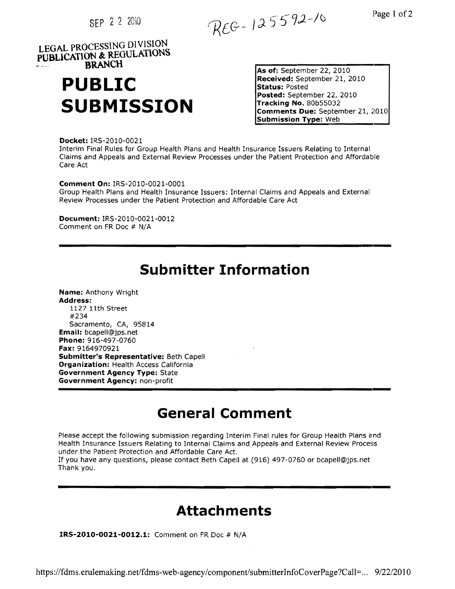SEP 2 2 2010

REG-125592-10

Page 1 of 2

**LEGAL PROCESSING 01 VISION PUBLICATION &, REGULATIONS BRANCH** 

# **PUBLIC SUBMISSION Comments Due:** September 21, 2010

 **As of:** September 22, 2010 **Received:** September 21, 2010 **Status:** Posted **Posted:** September 22, 2010 **Tracking No.** 80b55032 **Submission Type:** Web

**Docket:** IRS-2010-0021 Interim Final Rules for Group Health Plans and Health Insurance Issuers Relating to Internal Claims and Appeals and External Review Processes under the Patient Protection and Affordable Care Act

**Comment On:** IRS-2010-0021-0001 Group Health Plans and Health Insurance Issuers: Internal Claims and Appeals and External Review Processes under the Patient Protection and Affordable Care Act

**Document:** IRS-2010-0021-0012 Comment on FR Doc # N/A

## **Submitter Information**

**---------------------------------------------------------------------**

**Name:** Anthony Wright

**--------------------------------------------------------------------- Address:** 1127 11th Street #234 Sacramento, CA, 95814 **Email:** bcapell@jps.net **Phone:** 916-497-0760 **Fax:** 9164970921 **Submitter's Representative:** Beth Capell **Organization:** Health Access California **Government Agency Type:** State **Government Agency:** non-profit

# **General Comment**

Please accept the following submission regarding Interim Final rules for Group Health Plans and Health Insurance Issuers Relating to Internal Claims and Appeals and External Review Process under the Patient Protection and Affordable Care Act.

If you have any questions, please contact Beth Capell at (916) 497-0760 or bcapell@jps.net Thank you.

## **Attachments**

**---------------------------------------------------------------------**

**IRS-2010-0021-0012.1:** Comment on FR Doc # N/A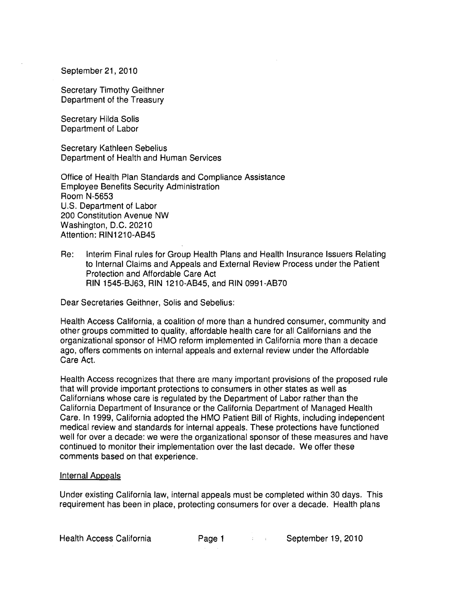September 21, 2010

Secretary Timothy Geithner Department of the Treasury

Secretary Hilda Solis Department of Labor

Secretary Kathleen Sebelius Department of Health and Human Services

Office of Health Plan Standards and Compliance Assistance Employee Benefits Security Administration Room N-5653 U.S. Department of Labor 200 Constitution Avenue NW Washington, D.C. 20210 Attention: RIN1210-AB45

Re: Interim Final rules for Group Health Plans and Health Insurance Issuers Relating to Internal Claims and Appeals and External Review Process under the Patient Protection and Affordable Care Act RIN 1545-BJ63, RIN 1210-AB45, and RIN 0991-AB70

Dear Secretaries Geithner, Solis and Sebelius:

Health Access California, a coalition of more than a hundred consumer, community and other groups committed to quality, affordable health care for all Californians and the organizational sponsor of HMO reform implemented in California more than a decade ago, offers comments on internal appeals and external review under the Affordable Care Act.

Health Access recognizes that there are many important provisions of the proposed rule that will provide important protections to consumers in other states as well as Californians whose care is regulated by the Department of Labor rather than the California Department of Insurance or the California Department of Managed Health Care. In 1999, California adopted the HMO Patient Bill of Rights, including independent medical review and standards for internal appeals. These protections have functioned well for over a decade: we were the organizational sponsor of these measures and have continued to monitor their implementation over the last decade. We offer these comments based on that experience.

#### Internal Appeals

Under existing California law, internal appeals must be completed within 30 days. This requirement has been in place, protecting consumers for over a decade. Health plans

Health Access California **Page 1 Page 1** September 19, 2010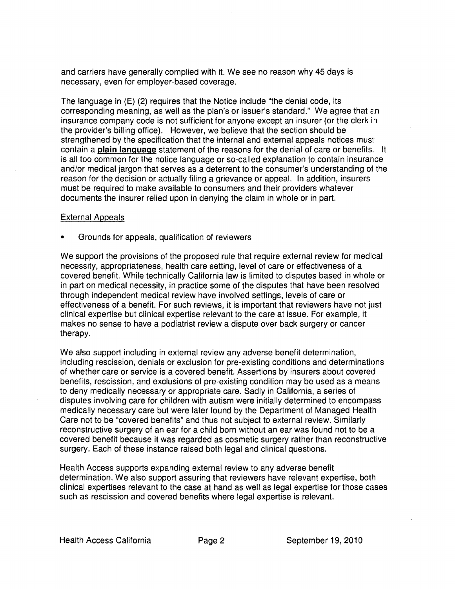and carriers have generally complied with it. We see no reason why 45 days is necessary, even for employer-based coverage.

The language in (E) (2) requires that the Notice include "the denial code, its corresponding meaning, as well as the plan's or issuer's standard." We agree that em insurance company code is not sufficient for anyone except an insurer (or the clerk in the provider's billing office). However, we believe that the section should be strengthened by the specification that the internal and external appeals notices must contain a **plain language** statement of the reasons for the denial of care or benefits. It is all too common for the notice language or so-called explanation to contain insurance and/or medical jargon that serves as a deterrent to the consumer's understanding of the reason for the decision or actually filing a grievance or appeal. In addition, insurers must be required to make available to consumers and their providers whatever documents the insurer relied upon in denying the claim in whole or in part.

#### External Appeals

• Grounds for appeals, qualification of reviewers

We support the provisions of the proposed rule that require external review for medical necessity, appropriateness, health care setting, level of care or effectiveness of a covered benefit. While technically California law is limited to disputes based in whole or in part on medical necessity, in practice some of the disputes that have been resolved through independent medical review have involved settings, levels of care or effectiveness of a benefit. For such reviews, it is important that reviewers have not just clinical expertise but clinical expertise relevant to the care at issue. For example, it makes no sense to have a podiatrist review a dispute over back surgery or cancer therapy.

We also support including in external review any adverse benefit determination, including rescission, denials or exclusion for pre-existing conditions and determinations of whether care or service is a covered benefit. Assertions by insurers about covered benefits, rescission, and exclusions of pre-existing condition may be used as a means to deny medically necessary or appropriate care. Sadly in California, a series of disputes involving care for children with autism were initially determined to encompass medically necessary care but were later found by the Department of Managed Health Care not to be "covered benefits" and thus not subject to external review. Similarly reconstructive surgery of an ear for a child born without an ear was found not to be a covered benefit because it was regarded as cosmetic surgery rather than reconstructive surgery. Each of these instance raised both legal and clinical questions.

Health Access supports expanding external review to any adverse benefit determination. We also support assuring that reviewers have relevant expertise, both clinical expertises relevant to the case at hand as well as legal expertise for those cases such as rescission and covered benefits where legal expertise is relevant.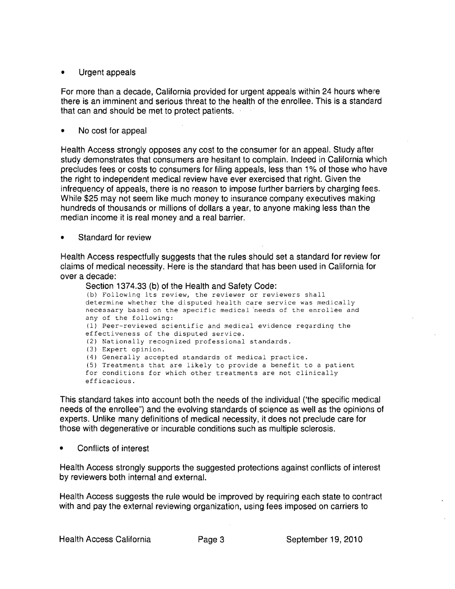### **• Urgent appeals**

For more than a decade, California provided for urgent appeals within 24 hours where there is an imminent and serious threat to the health of the enrollee. This is a standard **that can and should be met to protect patients.** 

### **• No cost for appeal**

**Health Access strongly opposes any cost to the consumer for an appeal.** Study after **study demonstrates that consumers are hesitant to complain. Indeed in California which precludes fees or costs to consumers for filing appeals, less than 1% of those who have the right to indeperident medical review have ever exercised that right. Given the infrequency of appeals, there is no reason to impose further barriers by charging fees.**  While \$25 may not seem like much money to insurance company executives making **hundreds of thousands or millions of dollars a year, to anyone making less than the median income it is real money and a real barrier.** 

**• Standard for review** 

**Health Access respectfully suggests that the rules should set a standard for review for claims of medical necessity. Here is the standard that has been used in California for over a decade:** 

#### **Section 1374.33 (b) of the Health and Safety Code:**

(b) Following its review, the reviewer or reviewers shall determine whether the disputed health care service was medically necessary based on the specific medical 'needs of the enrollee and any of the following: (1) Peer-reviewed scientific and medical evidence regarding the effectiveness of the disputed service. (2) Nationally recognized professional standards. (3) Expert opinion. (4) Generally accepted standards of medical practice. (5) Treatments that are likely to provide a benefit to a patient for conditions for which other treatments are not clinically efficacious.

**This standard takes into account both the needs of the individual ('the specific medical**  needs of the enrollee") and the evolving standards of science as well as the opinions of **experts. Unlike many definitions of medical necessity, it does not preclude care for those with degenerative or incurable conditions such as multiple sclerosis.** 

**• Conflicts of interest** 

**Health Access strongly supports the suggested protections against conflicts of intemst by reviewers both internal and external.** 

**Health Access suggests the rule would be improved by requiring each state to contract with and pay the external reviewing organization, using fees imposed on carriers to**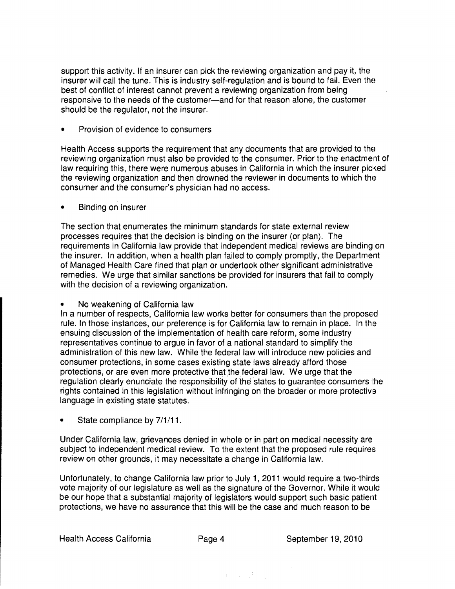support this activity. If an insurer can pick the reviewing organization and pay it, the insurer will call the tune. This is industry self-regulation and is bound to fail. Even the best of conflict of interest cannot prevent a reviewing organization from being responsive to the needs of the customer-and for that reason alone, the customer should be the regulator, not the insurer.

• Provision of evidence to consumers

Health Access supports the requirement that any documents that are provided to the reviewing organization must also be provided to the consumer. Prior to the enactment of law requiring this, there were numerous abuses in California in which the insurer picked the reviewing organization and then drowned the reviewer in documents to which the consumer and the consumer's physician had no access.

• Binding on insurer

The section that enumerates the minimum standards for state external review processes requires that the decision is binding on the insurer (or plan). The requirements in California law provide that independent medical reviews are binding on the insurer. In addition, when a health plan failed to comply promptly, the Department of Managed Health Care fined that plan or undertook other significant administrative remedies. We urge that similar sanctions be provided for insurers that fail to comply with the decision of a reviewing organization.

• No weakening of California law

In a number of respects, California law works better for consumers than the proposed rule. In those instances, our preference is for California law to remain in place. In the ensuing discussion of the implementation of health care reform, some industry representatives continue to argue in favor of a national standard to simplify the administration of this new law. While the federal law will introduce new policies and consumer protections, in some cases existing state laws already afford those protections, or are even more protective that the federal law. We urge that the regulation clearly enunciate the responsibility of the states to guarantee consumers the rights contained in this legislation without infringing on the broader or more protective language in existing state statutes.

State compliance by  $7/1/11$ .

Under California law, grievances denied in whole or in part on medical necessity are subject to independent medical review. To the extent that the proposed rule requires review on other grounds, it may necessitate a change in California law.

Unfortunately, to change California law prior to July 1, 2011 would require a two-thirds vote majority of our legislature as well as the signature of the Governor. While it would be our hope that a substantial majority of legislators would support such basic patient protections, we have no assurance that this will be the case and much reason to be

 $\label{eq:3} \begin{split} \mathcal{F}^{\text{in}}_{\text{in}}(\mathbf{r}) = \mathcal{F}^{\text{in}}_{\text{in}}(\mathbf{r}) = \mathcal{F}^{\text{in}}_{\text{in}}(\mathbf{r}) \end{split}$